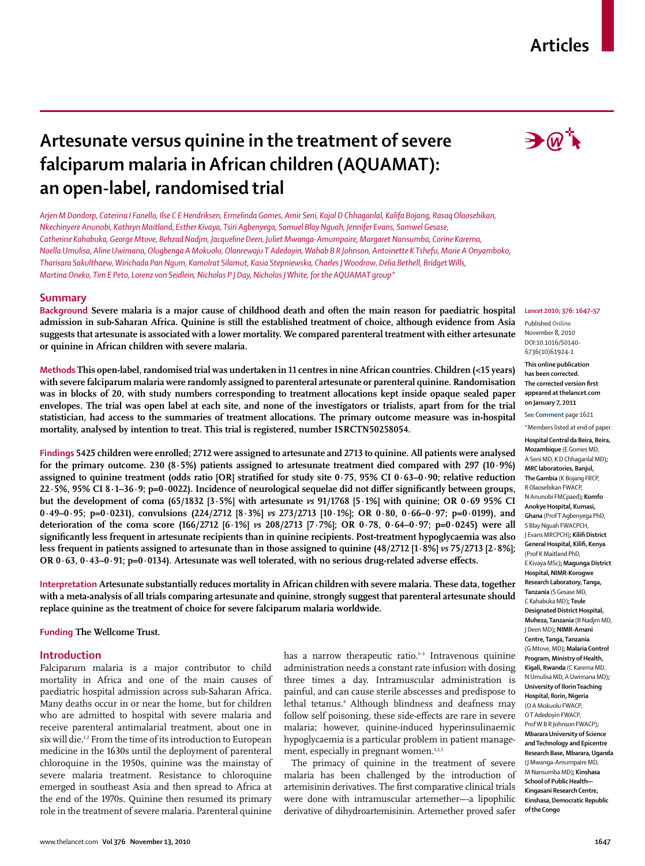# **Articles**

# **Artesunate versus quinine in the treatment of severe falciparum malaria in African children (AQUAMAT): an open-label, randomised trial**

*Arjen M Dondorp, Caterina I Fanello, Ilse C E Hendriksen, Ermelinda Gomes, Amir Seni, Kajal D Chhaganlal, Kalifa Bojang, Rasaq Olaosebikan, Nkechinyere Anunobi, Kathryn Maitland, Esther Kivaya, Tsiri Agbenyega, Samuel Blay Nguah, Jennifer Evans, Samwel Gesase, Catherine Kahabuka, George Mtove, Behzad Nadjm, Jacqueline Deen, Juliet Mwanga-Amumpaire, Margaret Nansumba, Corine Karema, Noella Umulisa, Aline Uwimana, Olugbenga A Mokuolu, Olanrewaju T Adedoyin, Wahab B R Johnson, Antoinette K Tshefu, Marie A Onyamboko, Tharisara Sakulthaew, Wirichada Pan Ngum, Kamolrat Silamut, Kasia Stepniewska, Charles J Woodrow, Delia Bethell, Bridget Wills, Martina Oneko, Tim E Peto, Lorenz von Seidlein, Nicholas P J Day, Nicholas J White, for the AQUAMAT group\**

#### **Summary**

**Background Severe malaria is a major cause of childhood death and often the main reason for paediatric hospital admission in sub-Saharan Africa. Quinine is still the established treatment of choice, although evidence from Asia suggests that artesunate is associated with a lower mortality. We compared parenteral treatment with either artesunate or quinine in African children with severe malaria.** 

**Methods This open-label, randomised trial was undertaken in 11 centres in nine African countries. Children (<15 years) with severe falciparum malaria were randomly assigned to parenteral artesunate or parenteral quinine. Randomisation**  was in blocks of 20, with study numbers corresponding to treatment allocations kept inside opaque sealed paper envelopes. The trial was open label at each site, and none of the investigators or trialists, apart from for the trial **statistician, had access to the summaries of treatment allocations. The primary outcome measure was in-hospital mortality, analysed by intention to treat. This trial is registered, number ISRCTN50258054.**

**Findings 5425 children were enrolled; 2712 were assigned to artesunate and 2713 to quinine. All patients were analysed for the primary outcome. 230 (8·5%) patients assigned to artesunate treatment died compared with 297 (10·9%)**  assigned to quinine treatment (odds ratio [OR] stratified for study site 0.75, 95% CI 0.63-0.90; relative reduction **22**·5%, 95% CI 8·1-36·9; p=0·0022). Incidence of neurological sequelae did not differ significantly between groups, **but the development of coma (65/1832 [3·5%] with artesunate** *vs* **91/1768 [5·1%] with quinine; OR 0·69 95% CI 0·49–0·95; p=0·0231), convulsions (224/2712 [8·3%]** *vs* **273/2713 [10·1%]; OR 0·80, 0·66–0·97; p=0·0199), and deterioration of the coma score (166/2712 [6·1%]** *vs* **208/2713 [7·7%]; OR 0·78, 0·64–0·97; p=0·0245) were all**  significantly less frequent in artesunate recipients than in quinine recipients. Post-treatment hypoglycaemia was also **less frequent in patients assigned to artesunate than in those assigned to quinine (48/2712 [1·8%]** *vs* **75/2713 [2·8%];**  OR 0·63, 0·43-0·91; p=0·0134). Artesunate was well tolerated, with no serious drug-related adverse effects.

**Interpretation Artesunate substantially reduces mortality in African children with severe malaria. These data, together with a meta-analysis of all trials comparing artesunate and quinine, strongly suggest that parenteral artesunate should replace quinine as the treatment of choice for severe falciparum malaria worldwide.**

**Funding The Wellcome Trust.**

#### **Introduction**

Falciparum malaria is a major contributor to child mortality in Africa and one of the main causes of paediatric hospital admission across sub-Saharan Africa. Many deaths occur in or near the home, but for children who are admitted to hospital with severe malaria and receive parenteral antimalarial treatment, about one in six will die.1,2 From the time of its introduction to European medicine in the 1630s until the deployment of parenteral chloroquine in the 1950s, quinine was the mainstay of severe malaria treatment. Resistance to chloroquine emerged in southeast Asia and then spread to Africa at the end of the 1970s. Quinine then resumed its primary role in the treatment of severe malaria. Parenteral quinine has a narrow therapeutic ratio. $1-3$  Intravenous quinine administration needs a constant rate infusion with dosing three times a day. Intramuscular administration is painful, and can cause sterile abscesses and predispose to lethal tetanus.4 Although blindness and deafness may follow self poisoning, these side-effects are rare in severe malaria; however, quinine-induced hyperinsulinaemic hypoglycaemia is a particular problem in patient management, especially in pregnant women.<sup>1,2,5</sup>

The primacy of quinine in the treatment of severe malaria has been challenged by the introduction of artemisinin derivatives. The first comparative clinical trials were done with intramuscular artemether—a lipophilic derivative of dihydroartemisinin. Artemether proved safer



#### *Lancet* **2010; 376: 1647–57**

Published **Online** November 8, 2010 DOI:10.1016/S0140- 6736(10)61924-1

**This online publication has been corrected. The corrected version first appeared at thelancet.com on January 7, 2011**

See **Comment** page 1621 \*Members listed at end of paper.

**Hospital Central da Beira, Beira, Mozambique** (E Gomes MD, A Seni MD, K D Chhaganlal MD)**; MRC laboratories, Banjul, The Gambia** (K Bojang FRCP, R Olaosebikan FWACP, N Anunobi FMCpaed)**; Komfo Anokye Hospital, Kumasi, Ghana** (Prof T Agbenyega PhD, S Blay Nguah FWACPCH, J Evans MRCPCH)**; Kilifi District General Hospital, Kilifi , Kenya** (Prof K Maitland PhD, E Kivaya MSc)**; Magunga District Hospital, NIMR-Korogwe Research Laboratory, Tanga, Tanzania** (S Gesase MD, C Kahabuka MD)**; Teule Designated District Hospital, Muheza, Tanzania** (B Nadjm MD, J Deen MD)**; NIMR-Amani Centre, Tanga,Tanzania** (G Mtove, MD)**; Malaria Control Program, Ministry of Health, Kigali, Rwanda** (C Karema MD, N Umulisa MD, A Uwimana MD)**; University of Ilorin Teaching Hospital, Ilorin, Nigeria** (O A Mokuolu FWACP, O T Adedoyin FWACP, Prof W B R Johnson FWACP)**; Mbarara University of Science and Technology and Epicentre Research Base, Mbarara, Uganda**  (J Mwanga-Amumpaire MD, M Nansumba MD)**; Kinshasa School of Public Health— Kingasani Research Centre, Kinshasa, Democratic Republic of the Congo**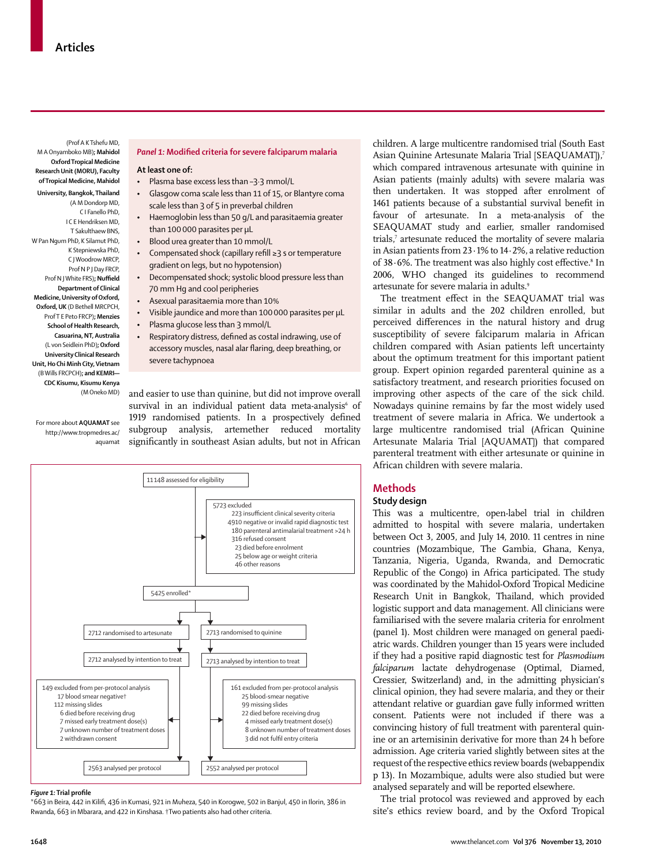(Prof A K Tshefu MD, M A Onyamboko MB)**; Mahidol Oxford Tropical Medicine Research Unit (MORU), Faculty of Tropical Medicine, Mahidol** 

**University, Bangkok, Thailand**  (A M Dondorp MD, C I Fanello PhD, I C E Hendriksen MD, T Sakulthaew BNS, W Pan Ngum PhD, K Silamut PhD, K Stepniewska PhD, C J Woodrow MRCP, Prof N P J Day FRCP, Prof N J White FRS); Nuffield **Department of Clinical Medicine, University of Oxford, Oxford, UK** (D Bethell MRCPCH, Prof T E Peto FRCP)**; Menzies School of Health Research, Casuarina, NT, Australia**  (L von Seidlein PhD)**; Oxford University Clinical Research Unit, Ho Chi Minh City, Vietnam** (B Wills FRCPCH)**; and KEMRI— CDC Kisumu, Kisumu Kenya** (M Oneko MD)

For more about **AQUAMAT** see http://www.tropmedres.ac/ aquamat

## **Panel 1:** Modified criteria for severe falciparum malaria

## **At least one of:**

- Plasma base excess less than –3·3 mmol/L
- Glasgow coma scale less than 11 of 15, or Blantyre coma scale less than 3 of 5 in preverbal children
- Haemoglobin less than 50 g/L and parasitaemia greater than 100 000 parasites per μL
- Blood urea greater than 10 mmol/L
- Compensated shock (capillary refill ≥3 s or temperature gradient on legs, but no hypotension)
- Decompensated shock; systolic blood pressure less than 70 mm Hg and cool peripheries
- Asexual parasitaemia more than 10%
- Visible jaundice and more than 100 000 parasites per μL
- Plasma glucose less than 3 mmol/L
- Respiratory distress, defined as costal indrawing, use of accessory muscles, nasal alar flaring, deep breathing, or severe tachypnoea

and easier to use than quinine, but did not improve overall survival in an individual patient data meta-analysis<sup>6</sup> of 1919 randomised patients. In a prospectively defined subgroup analysis, artemether reduced mortality significantly in southeast Asian adults, but not in African



#### **Figure 1:** Trial profile

\*663 in Beira, 442 in Kilifi , 436 in Kumasi, 921 in Muheza, 540 in Korogwe, 502 in Banjul, 450 in Ilorin, 386 in Rwanda, 663 in Mbarara, and 422 in Kinshasa. †Two patients also had other criteria.

children. A large multicentre randomised trial (South East Asian Quinine Artesunate Malaria Trial [SEAQUAMAT]),7 which compared intravenous artesunate with quinine in Asian patients (mainly adults) with severe malaria was then undertaken. It was stopped after enrolment of 1461 patients because of a substantial survival benefit in favour of artesunate. In a meta-analysis of the SEAQUAMAT study and earlier, smaller randomised trials,7 artesunate reduced the mortality of severe malaria in Asian patients from 23·1% to 14·2%, a relative reduction of  $38.6\%$ . The treatment was also highly cost effective.<sup>8</sup> In 2006, WHO changed its guidelines to recommend artesunate for severe malaria in adults.<sup>9</sup>

The treatment effect in the SEAQUAMAT trial was similar in adults and the 202 children enrolled, but perceived differences in the natural history and drug susceptibility of severe falciparum malaria in African children compared with Asian patients left uncertainty about the optimum treatment for this important patient group. Expert opinion regarded parenteral quinine as a satisfactory treatment, and research priorities focused on improving other aspects of the care of the sick child. Nowadays quinine remains by far the most widely used treatment of severe malaria in Africa. We undertook a large multicentre randomised trial (African Quinine Artesunate Malaria Trial [AQUAMAT]) that compared parenteral treatment with either artesunate or quinine in African children with severe malaria.

# **Methods**

## **Study design**

This was a multicentre, open-label trial in children admitted to hospital with severe malaria, undertaken between Oct 3, 2005, and July 14, 2010. 11 centres in nine countries (Mozambique, The Gambia, Ghana, Kenya, Tanzania, Nigeria, Uganda, Rwanda, and Democratic Republic of the Congo) in Africa participated. The study was coordinated by the Mahidol-Oxford Tropical Medicine Research Unit in Bangkok, Thailand, which provided logistic support and data management. All clinicians were familiarised with the severe malaria criteria for enrolment (panel 1). Most children were managed on general paediatric wards. Children younger than 15 years were included if they had a positive rapid diagnostic test for *Plasmodium falciparum* lactate dehydrogenase (Optimal, Diamed, Cressier, Switzerland) and, in the admitting physician's clinical opinion, they had severe malaria, and they or their attendant relative or guardian gave fully informed written consent. Patients were not included if there was a convincing history of full treatment with parenteral quinine or an artemisinin derivative for more than 24 h before admission. Age criteria varied slightly between sites at the request of the respective ethics review boards (webappendix p 13). In Mozambique, adults were also studied but were analysed separately and will be reported elsewhere.

The trial protocol was reviewed and approved by each site's ethics review board, and by the Oxford Tropical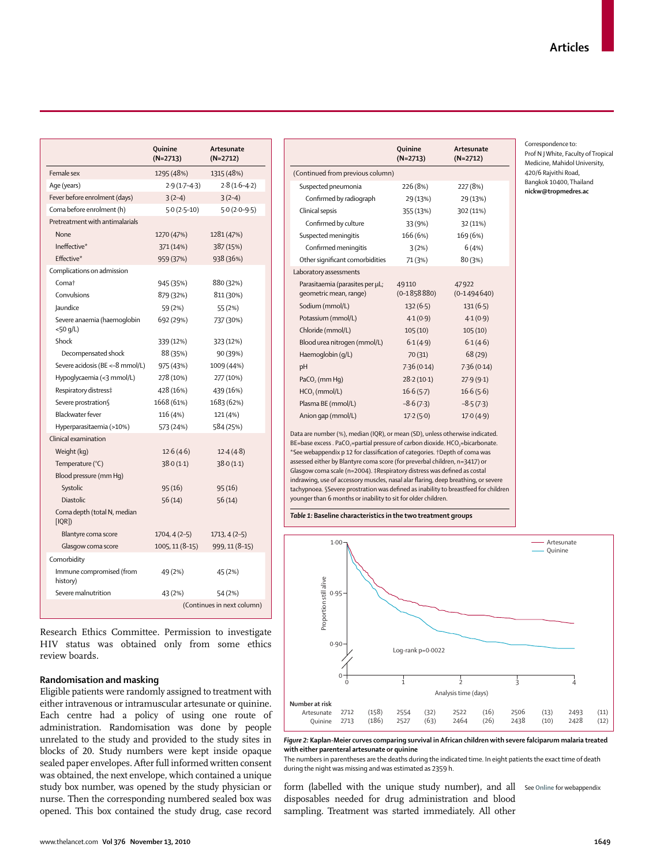|                                         | Quinine<br>$(N=2713)$      | Artesunate<br>(N=2712) |  |
|-----------------------------------------|----------------------------|------------------------|--|
| Female sex                              | 1295 (48%)                 | 1315 (48%)             |  |
| Age (years)                             | $2.9(1.7 - 4.3)$           | $2.8(1.6-4.2)$         |  |
| Fever before enrolment (days)           | $3(2-4)$                   | $3(2-4)$               |  |
| Coma before enrolment (h)               | $5.0(2.5-10)$              | $5.0(2.0-9.5)$         |  |
| Pretreatment with antimalarials         |                            |                        |  |
| None                                    | 1270 (47%)                 | 1281 (47%)             |  |
| Ineffective*                            | 371 (14%)                  | 387 (15%)              |  |
| Effective*                              | 959 (37%)                  | 938 (36%)              |  |
| Complications on admission              |                            |                        |  |
| Coma <sup>+</sup>                       | 945 (35%)                  | 880 (32%)              |  |
| Convulsions                             | 879 (32%)                  | 811 (30%)              |  |
| Jaundice                                | 59 (2%)                    | 55 (2%)                |  |
| Severe anaemia (haemoglobin<br><50 g/L) | 692 (29%)                  | 737 (30%)              |  |
| Shock                                   | 339 (12%)                  | 323 (12%)              |  |
| Decompensated shock                     | 88 (35%)                   | 90 (39%)               |  |
| Severe acidosis (BE <-8 mmol/L)         | 975 (43%)                  | 1009 (44%)             |  |
| Hypoglycaemia (<3 mmol/L)               | 278 (10%)                  | 277 (10%)              |  |
| Respiratory distress‡                   | 428 (16%)                  | 439 (16%)              |  |
| Severe prostration§                     | 1668 (61%)                 | 1683 (62%)             |  |
| <b>Blackwater fever</b>                 | 116 (4%)                   | 121 (4%)               |  |
| Hyperparasitaemia (>10%)                | 573 (24%)                  | 584 (25%)              |  |
| Clinical examination                    |                            |                        |  |
| Weight (kg)                             | 12.6(4.6)                  | 12.4(4.8)              |  |
| Temperature (°C)                        | 38.0(1.1)                  | 38.0(1.1)              |  |
| Blood pressure (mm Hq)                  |                            |                        |  |
| Systolic                                | 95(16)                     | 95(16)                 |  |
| <b>Diastolic</b>                        | 56(14)                     | 56(14)                 |  |
| Coma depth (total N, median<br>[IQR]    |                            |                        |  |
| Blantyre coma score                     | $1704, 4(2-5)$             | $1713, 4(2-5)$         |  |
| Glasgow coma score                      | 1005, 11 (8-15)            | 999, 11 (8-15)         |  |
| Comorbidity                             |                            |                        |  |
| Immune compromised (from<br>history)    | 49 (2%)                    | 45 (2%)                |  |
| Severe malnutrition                     | 43 (2%)                    | 54 (2%)                |  |
|                                         | (Continues in next column) |                        |  |

Research Ethics Committee. Permission to investigate HIV status was obtained only from some ethics review boards.

#### **Randomisation and masking**

Eligible patients were randomly assigned to treatment with either intravenous or intramuscular artesunate or quinine. Each centre had a policy of using one route of administration. Randomisation was done by people unrelated to the study and provided to the study sites in blocks of 20. Study numbers were kept inside opaque sealed paper envelopes. After full informed written consent was obtained, the next envelope, which contained a unique study box number, was opened by the study physician or nurse. Then the corresponding numbered sealed box was opened. This box contained the study drug, case record

|                                                           | Quinine<br>$(N=2713)$  | Artesunate<br>$(N=2712)$ |  |  |
|-----------------------------------------------------------|------------------------|--------------------------|--|--|
| (Continued from previous column)                          |                        |                          |  |  |
| Suspected pneumonia                                       | 226 (8%)               | 227 (8%)                 |  |  |
| Confirmed by radiograph                                   | 29 (13%)               | 29 (13%)                 |  |  |
| Clinical sepsis                                           | 355 (13%)              | 302 (11%)                |  |  |
| Confirmed by culture                                      | 33 (9%)                | 32 (11%)                 |  |  |
| Suspected meningitis                                      | 166 (6%)               | 169 (6%)                 |  |  |
| Confirmed meningitis                                      | 3(2%)                  | 6(4%)                    |  |  |
| Other significant comorbidities                           | 71 (3%)                | 80 (3%)                  |  |  |
| Laboratory assessments                                    |                        |                          |  |  |
| Parasitaemia (parasites per µL;<br>geometric mean, range) | 49110<br>$(0-1858880)$ | 47922<br>$(0-1494640)$   |  |  |
| Sodium (mmol/L)                                           | 132(6.5)               | 131(6.5)                 |  |  |
| Potassium (mmol/L)                                        | 4.1(0.9)               | 4.1(0.9)                 |  |  |
| Chloride (mmol/L)                                         | 105(10)                | 105(10)                  |  |  |
| Blood urea nitrogen (mmol/L)                              | 6.1(4.9)               | 6.1(4.6)                 |  |  |
| Haemoglobin (g/L)                                         | 70 (31)                | 68(29)                   |  |  |
| pH                                                        | 7.36(0.14)             | 7.36(0.14)               |  |  |
| PaCO <sub>2</sub> (mm Hq)                                 | 28.2(10.1)             | 27.9(9.1)                |  |  |
| $HCO3$ (mmol/L)                                           | 16.6(5.7)              | 16.6(5.6)                |  |  |
| Plasma BE (mmol/L)                                        | $-8.6(7.3)$            | $-8.5(7.3)$              |  |  |
| Anion gap (mmol/L)                                        | 17.2(5.0)              | 17.0(4.9)                |  |  |
|                                                           |                        |                          |  |  |

Data are number (%), median (IQR), or mean (SD), unless otherwise indicated. BE=base excess . PaCO<sub>-</sub>=partial pressure of carbon dioxide. HCO<sub>-</sub>=bicarbonate. \*See webappendix p 12 for classification of categories. †Depth of coma was assessed either by Blantyre coma score (for preverbal children, n=3417) or Glasgow coma scale (n=2004). ‡Respiratory distress was defined as costal indrawing, use of accessory muscles, nasal alar flaring, deep breathing, or severe tachypnoea. §Severe prostration was defined as inability to breastfeed for children younger than 6 months or inability to sit for older children.

*Table 1:* **Baseline characteristics in the two treatment groups**



#### *Figure 2:* **Kaplan-Meier curves comparing survival in African children with severe falciparum malaria treated with either parenteral artesunate or quinine**

The numbers in parentheses are the deaths during the indicated time. In eight patients the exact time of death during the night was missing and was estimated as 2359 h.

form (labelled with the unique study number), and all See **Online** for webappendix disposables needed for drug administration and blood sampling. Treatment was started immediately. All other

Correspondence to: Prof N J White, Faculty of Tropical Medicine, Mahidol University, 420/6 Rajvithi Road, Bangkok 10400, Thailand **nickw@tropmedres.ac**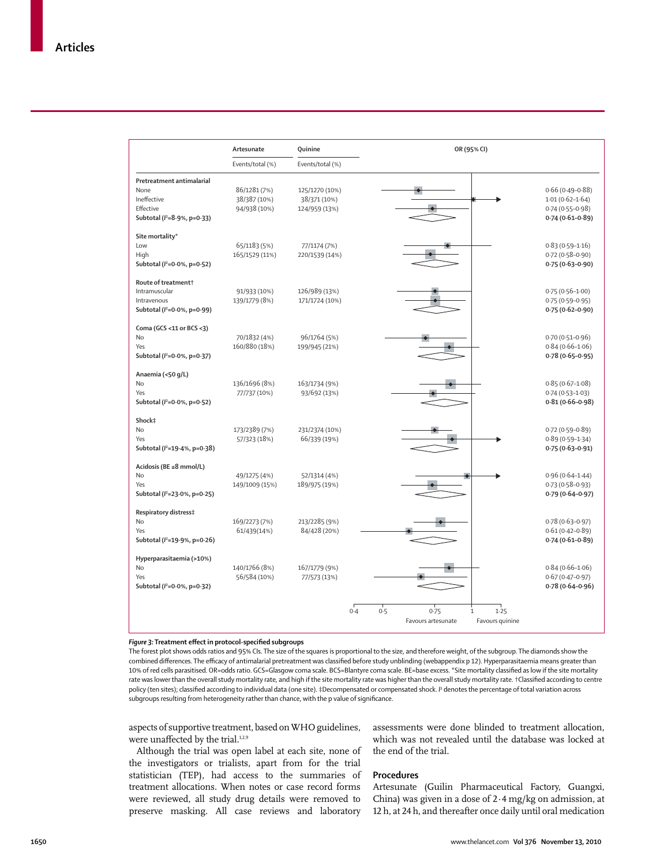|                                                                                                    | Artesunate                                   | Quinine                                         | OR (95% CI)                                                                              |  |  |
|----------------------------------------------------------------------------------------------------|----------------------------------------------|-------------------------------------------------|------------------------------------------------------------------------------------------|--|--|
|                                                                                                    | Events/total (%)                             | Events/total (%)                                |                                                                                          |  |  |
| Pretreatment antimalarial<br>None<br>Ineffective<br>Effective<br>Subtotal ( $l^2 = 8.9$ %, p=0.33) | 86/1281 (7%)<br>38/387 (10%)<br>94/938 (10%) | 125/1270 (10%)<br>38/371 (10%)<br>124/959 (13%) | $0.66(0.49 - 0.88)$<br>$1.01(0.62 - 1.64)$<br>$0.74(0.55 - 0.98)$<br>$0.74(0.61 - 0.89)$ |  |  |
| Site mortality*<br>Low<br>High<br>Subtotal (I <sup>2</sup> =0.0%, p=0.52)                          | 65/1183 (5%)<br>165/1529 (11%)               | 77/1174 (7%)<br>220/1539 (14%)                  | $0.83(0.59 - 1.16)$<br>$0.72(0.58 - 0.90)$<br>$0.75(0.63 - 0.90)$                        |  |  |
| Route of treatment†<br>Intramuscular<br>Intravenous<br>Subtotal ( $l^2$ =0.0%, p=0.99)             | 91/933 (10%)<br>139/1779 (8%)                | 126/989 (13%)<br>171/1724 (10%)                 | $0.75(0.56 - 1.00)$<br>$0.75(0.59 - 0.95)$<br>$0.75(0.62 - 0.90)$                        |  |  |
| Coma (GCS <11 or BCS <3)<br>No<br>Yes<br>Subtotal ( $l^2$ =0.0%, p=0.37)                           | 70/1832 (4%)<br>160/880 (18%)                | 96/1764 (5%)<br>199/945 (21%)                   | $0.70(0.51 - 0.96)$<br>$0.84(0.66 - 1.06)$<br>$0.78(0.65 - 0.95)$                        |  |  |
| Anaemia (<50 q/L)<br>No<br>Yes<br>Subtotal ( $I^2=0.0\%$ , p=0.52)                                 | 136/1696 (8%)<br>77/737 (10%)                | 163/1734 (9%)<br>93/692 (13%)                   | $0.85(0.67 - 1.08)$<br>$0.74(0.53 - 1.03)$<br>$0.81(0.66 - 0.98)$                        |  |  |
| Shock‡<br>No<br>Yes<br>Subtotal ( $l^2$ =19·4%, p=0·38)                                            | 173/2389 (7%)<br>57/323 (18%)                | 231/2374 (10%)<br>66/339 (19%)                  | $0.72(0.59 - 0.89)$<br>$0.89(0.59 - 1.34)$<br>$0.75(0.63 - 0.91)$                        |  |  |
| Acidosis (BE ≤8 mmol/L)<br><b>No</b><br>Yes<br>Subtotal ( $l^2$ =23·0%, p=0·25)                    | 49/1275 (4%)<br>149/1009 (15%)               | 52/1314 (4%)<br>189/975 (19%)                   | $0.96(0.64 - 1.44)$<br>$0.73(0.58 - 0.93)$<br>$0.79(0.64 - 0.97)$                        |  |  |
| Respiratory distress‡<br>No<br>Yes<br>Subtotal ( $l^2$ =19.9%, p=0.26)                             | 169/2273 (7%)<br>61/439(14%)                 | 213/2285 (9%)<br>84/428 (20%)                   | $0.78(0.63 - 0.97)$<br>$0.61(0.42 - 0.89)$<br>$0.74(0.61 - 0.89)$                        |  |  |
| Hyperparasitaemia (>10%)<br>No<br>Yes<br>Subtotal ( $l^2$ =0.0%, p=0.32)                           | 140/1766 (8%)<br>56/584 (10%)                | 167/1779 (9%)<br>77/573 (13%)                   | $0.84(0.66 - 1.06)$<br>$0.67(0.47 - 0.97)$<br>$0.78(0.64 - 0.96)$                        |  |  |
|                                                                                                    |                                              |                                                 | 0.4<br>0.5<br>0.75<br>1.25<br>$\mathbf{1}$<br>Favours artesunate<br>Favours quinine      |  |  |

#### Figure 3: Treatment effect in protocol-specified subgroups

The forest plot shows odds ratios and 95% CIs. The size of the squares is proportional to the size, and therefore weight, of the subgroup. The diamonds show the combined differences. The efficacy of antimalarial pretreatment was classified before study unblinding (webappendix p 12). Hyperparasitaemia means greater than 10% of red cells parasitised. OR=odds ratio. GCS=Glasgow coma scale. BCS=Blantyre coma scale. BE=base excess. \*Site mortality classifi ed as low if the site mortality rate was lower than the overall study mortality rate, and high if the site mortality rate was higher than the overall study mortality rate. +Classified according to centre policy (ten sites); classified according to individual data (one site). ‡Decompensated or compensated shock. *I*<sup>2</sup> denotes the percentage of total variation across subgroups resulting from heterogeneity rather than chance, with the p value of significance.

aspects of supportive treatment, based on WHO guidelines, were unaffected by the trial.<sup>1,2,9</sup>

Although the trial was open label at each site, none of the investigators or trialists, apart from for the trial statistician (TEP), had access to the summaries of treatment allocations. When notes or case record forms were reviewed, all study drug details were removed to preserve masking. All case reviews and laboratory

assessments were done blinded to treatment allocation, which was not revealed until the database was locked at the end of the trial.

## **Procedures**

Artesunate (Guilin Pharmaceutical Factory, Guangxi, China) was given in a dose of 2·4 mg/kg on admission, at 12 h, at 24 h, and thereafter once daily until oral medication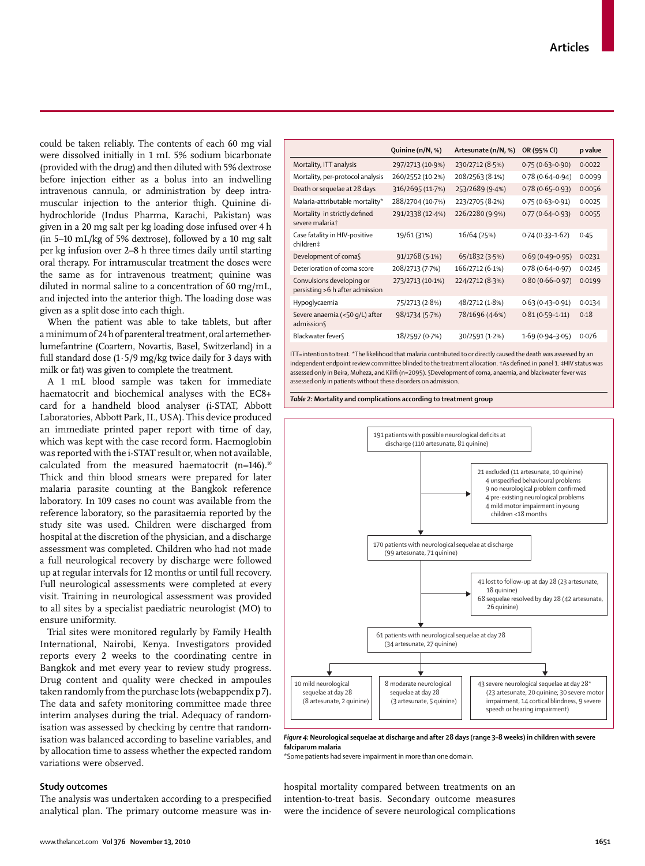could be taken reliably. The contents of each 60 mg vial were dissolved initially in 1 mL 5% sodium bicarbonate (provided with the drug) and then diluted with 5% dextrose before injection either as a bolus into an indwelling intravenous cannula, or administration by deep intramuscular injection to the anterior thigh. Quinine dihydrochloride (Indus Pharma, Karachi, Pakistan) was given in a 20 mg salt per kg loading dose infused over 4 h (in 5–10 mL/kg of 5% dextrose), followed by a 10 mg salt per kg infusion over 2–8 h three times daily until starting oral therapy. For intramuscular treatment the doses were the same as for intravenous treatment; quinine was diluted in normal saline to a concentration of 60 mg/mL, and injected into the anterior thigh. The loading dose was given as a split dose into each thigh.

When the patient was able to take tablets, but after a minimum of 24 h of parenteral treatment, oral artemetherlumefantrine (Coartem, Novartis, Basel, Switzerland) in a full standard dose  $(1.5/9 \text{ mg/kg})$  twice daily for 3 days with milk or fat) was given to complete the treatment.

A 1 mL blood sample was taken for immediate haematocrit and biochemical analyses with the EC8+ card for a handheld blood analyser (i-STAT, Abbott Laboratories, Abbott Park, IL, USA). This device produced an immediate printed paper report with time of day, which was kept with the case record form. Haemoglobin was reported with the i-STAT result or, when not available, calculated from the measured haematocrit  $(n=146).10$ Thick and thin blood smears were prepared for later malaria parasite counting at the Bangkok reference laboratory. In 109 cases no count was available from the reference laboratory, so the parasitaemia reported by the study site was used. Children were discharged from hospital at the discretion of the physician, and a discharge assessment was completed. Children who had not made a full neurological recovery by discharge were followed up at regular intervals for 12 months or until full recovery. Full neurological assessments were completed at every visit. Training in neurological assessment was provided to all sites by a specialist paediatric neurologist (MO) to ensure uniformity.

Trial sites were monitored regularly by Family Health International, Nairobi, Kenya. Investigators provided reports every 2 weeks to the coordinating centre in Bangkok and met every year to review study progress. Drug content and quality were checked in ampoules taken randomly from the purchase lots (webappendix p 7). The data and safety monitoring committee made three interim analyses during the trial. Adequacy of randomisation was assessed by checking by centre that randomisation was balanced according to baseline variables, and by allocation time to assess whether the expected random variations were observed.

## **Study outcomes**

The analysis was undertaken according to a prespecified analytical plan. The primary outcome measure was in-

|                                                              | Quinine (n/N, %) | Artesunate (n/N, %) | OR (95% CI)         | p value |
|--------------------------------------------------------------|------------------|---------------------|---------------------|---------|
| Mortality, ITT analysis                                      | 297/2713 (10.9%) | 230/2712 (8.5%)     | $0.75(0.63 - 0.90)$ | 0.0022  |
| Mortality, per-protocol analysis                             | 260/2552 (10-2%) | 208/2563 (8.1%)     | $0.78(0.64 - 0.94)$ | 0.0099  |
| Death or sequelae at 28 days                                 | 316/2695 (11.7%) | 253/2689 (9.4%)     | $0.78(0.65 - 0.93)$ | 0.0056  |
| Malaria-attributable mortality*                              | 288/2704 (10.7%) | 223/2705 (8.2%)     | $0.75(0.63 - 0.91)$ | 0.0025  |
| Mortality in strictly defined<br>severe malariat             | 291/2338 (12.4%) | 226/2280 (9.9%)     | $0.77(0.64 - 0.93)$ | 0.0055  |
| Case fatality in HIV-positive<br>children‡                   | 19/61 (31%)      | 16/64 (25%)         | $0.74(0.33 - 1.62)$ | 0.45    |
| Development of comas                                         | 91/1768 (5.1%)   | 65/1832 (3.5%)      | $0.69(0.49 - 0.95)$ | 0.0231  |
| Deterioration of coma score                                  | 208/2713 (7.7%)  | 166/2712 (6.1%)     | $0.78(0.64 - 0.97)$ | 0.0245  |
| Convulsions developing or<br>persisting >6 h after admission | 273/2713 (10-1%) | 224/2712 (8.3%)     | $0.80(0.66 - 0.97)$ | 0.0199  |
| Hypoglycaemia                                                | 75/2713 (2.8%)   | 48/2712 (1.8%)      | $0.63(0.43 - 0.91)$ | 0.0134  |
| Severe anaemia (<50 q/L) after<br>admission                  | 98/1734 (5.7%)   | 78/1696 (4.6%)      | $0.81(0.59 - 1.11)$ | 0.18    |
| Blackwater fever                                             | 18/2597 (0.7%)   | 30/2591 (1.2%)      | $1.69(0.94 - 3.05)$ | 0.076   |

ITT=intention to treat. \*The likelihood that malaria contributed to or directly caused the death was assessed by an independent endpoint review committee blinded to the treatment allocation. †As defined in panel 1. ‡HIV status was assessed only in Beira, Muheza, and Kilifi (n=2095). §Development of coma, anaemia, and blackwater fever was assessed only in patients without these disorders on admission.

*Table 2:* **Mortality and complications according to treatment group**



*Figure 4:* **Neurological sequelae at discharge and after 28 days (range 3–8 weeks) in children with severe falciparum malaria** 

\*Some patients had severe impairment in more than one domain.

hospital mortality compared between treatments on an intention-to-treat basis. Secondary outcome measures were the incidence of severe neurological complications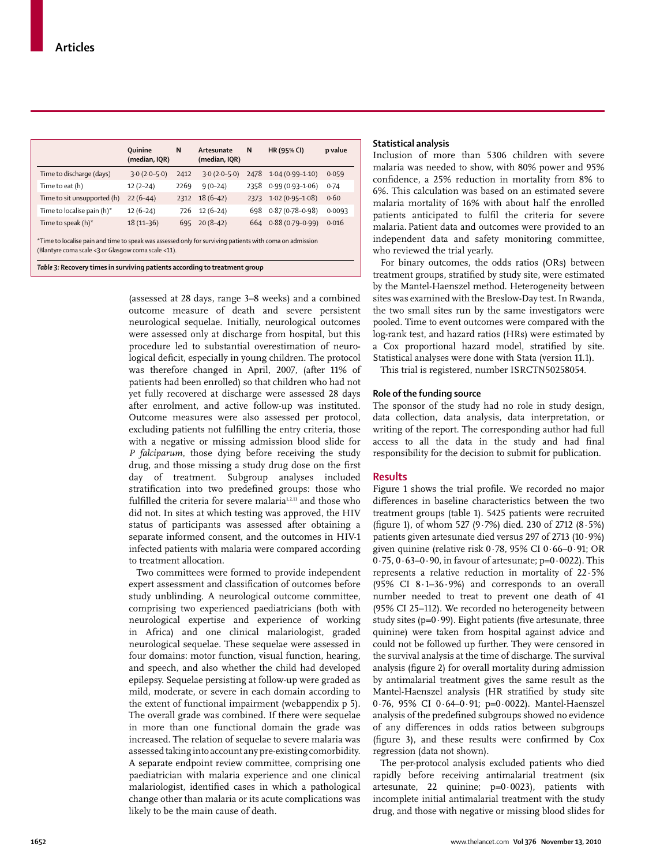|                             | Quinine<br>(median, IQR) | N    | Artesunate<br>(median, IQR) | N    | HR (95% CI)          | p value |
|-----------------------------|--------------------------|------|-----------------------------|------|----------------------|---------|
| Time to discharge (days)    | $3.0(2.0-5.0)$           | 2412 | $3.0(2.0-5.0)$              | 2478 | $1.04(0.99 - 1.10)$  | 0.059   |
| Time to eat (h)             | $12(2-24)$               | 2269 | $9(0-24)$                   | 2358 | $0.99(0.93 - 1.06)$  | 0.74    |
| Time to sit unsupported (h) | $22(6-44)$               | 2312 | $18(6-42)$                  | 2373 | $1.02(0.95 - 1.08)$  | 0.60    |
| Time to localise pain (h)*  | $12(6-24)$               | 726  | $12(6-24)$                  | 698  | $0.87(0.78 - 0.98)$  | 0.0093  |
| Time to speak (h)*          | $18(11-36)$              | 695  | $20(8-42)$                  |      | 664 0.88 (0.79-0.99) | 0.016   |

\*Time to localise pain and time to speak was assessed only for surviving patients with coma on admission (Blantyre coma scale <3 or Glasgow coma scale <11).

*Table 3:* **Recovery times in surviving patients according to treatment group**

(assessed at 28 days, range 3–8 weeks) and a combined outcome measure of death and severe persistent neurological sequelae. Initially, neurological outcomes were assessed only at discharge from hospital, but this procedure led to substantial overestimation of neurological deficit, especially in young children. The protocol was therefore changed in April, 2007, (after 11% of patients had been enrolled) so that children who had not yet fully recovered at discharge were assessed 28 days after enrolment, and active follow-up was instituted. Outcome measures were also assessed per protocol, excluding patients not fulfilling the entry criteria, those with a negative or missing admission blood slide for *P falciparum*, those dying before receiving the study drug, and those missing a study drug dose on the first day of treatment. Subgroup analyses included stratification into two predefined groups: those who fulfilled the criteria for severe malaria<sup>1,2,11</sup> and those who did not. In sites at which testing was approved, the HIV status of participants was assessed after obtaining a separate informed consent, and the outcomes in HIV-1 infected patients with malaria were compared according to treatment allocation.

Two committees were formed to provide independent expert assessment and classification of outcomes before study unblinding. A neurological outcome committee, comprising two experienced paediatricians (both with neurological expertise and experience of working in Africa) and one clinical malariologist, graded neurological sequelae. These sequelae were assessed in four domains: motor function, visual function, hearing, and speech, and also whether the child had developed epilepsy. Sequelae persisting at follow-up were graded as mild, moderate, or severe in each domain according to the extent of functional impairment (webappendix p 5). The overall grade was combined. If there were sequelae in more than one functional domain the grade was increased. The relation of sequelae to severe malaria was assessed taking into account any pre-existing comorbidity. A separate endpoint review committee, comprising one paediatrician with malaria experience and one clinical malariologist, identified cases in which a pathological change other than malaria or its acute complications was likely to be the main cause of death.

#### **Statistical analysis**

Inclusion of more than 5306 children with severe malaria was needed to show, with 80% power and 95% confidence, a 25% reduction in mortality from 8% to 6%. This calculation was based on an estimated severe malaria mortality of 16% with about half the enrolled patients anticipated to fulfil the criteria for severe malaria. Patient data and outcomes were provided to an independent data and safety monitoring committee, who reviewed the trial yearly.

For binary outcomes, the odds ratios (ORs) between treatment groups, stratified by study site, were estimated by the Mantel-Haenszel method. Heterogeneity between sites was examined with the Breslow-Day test. In Rwanda, the two small sites run by the same investigators were pooled. Time to event outcomes were compared with the log-rank test, and hazard ratios (HRs) were estimated by a Cox proportional hazard model, stratified by site. Statistical analyses were done with Stata (version 11.1).

This trial is registered, number ISRCTN50258054.

## **Role of the funding source**

The sponsor of the study had no role in study design, data collection, data analysis, data interpretation, or writing of the report. The corresponding author had full access to all the data in the study and had final responsibility for the decision to submit for publication.

#### **Results**

Figure 1 shows the trial profile. We recorded no major differences in baseline characteristics between the two treatment groups (table 1). 5425 patients were recruited (figure 1), of whom 527 (9.7%) died. 230 of 2712 (8.5%) patients given artesunate died versus 297 of 2713 (10·9%) given quinine (relative risk 0·78, 95% CI 0·66–0·91; OR  $0.75, 0.63 - 0.90$ , in favour of artesunate;  $p=0.0022$ ). This represents a relative reduction in mortality of 22·5% (95% CI 8·1–36·9%) and corresponds to an overall number needed to treat to prevent one death of 41 (95% CI 25–112). We recorded no heterogeneity between study sites ( $p=0.99$ ). Eight patients (five artesunate, three quinine) were taken from hospital against advice and could not be followed up further. They were censored in the survival analysis at the time of discharge. The survival analysis (figure 2) for overall mortality during admission by antimalarial treatment gives the same result as the Mantel-Haenszel analysis (HR stratified by study site 0·76, 95% CI 0·64–0·91; p=0·0022). Mantel-Haenszel analysis of the predefined subgroups showed no evidence of any differences in odds ratios between subgroups (figure 3), and these results were confirmed by  $Cox$ regression (data not shown).

The per-protocol analysis excluded patients who died rapidly before receiving antimalarial treatment (six artesunate, 22 quinine;  $p=0.0023$ ), patients with incomplete initial antimalarial treatment with the study drug, and those with negative or missing blood slides for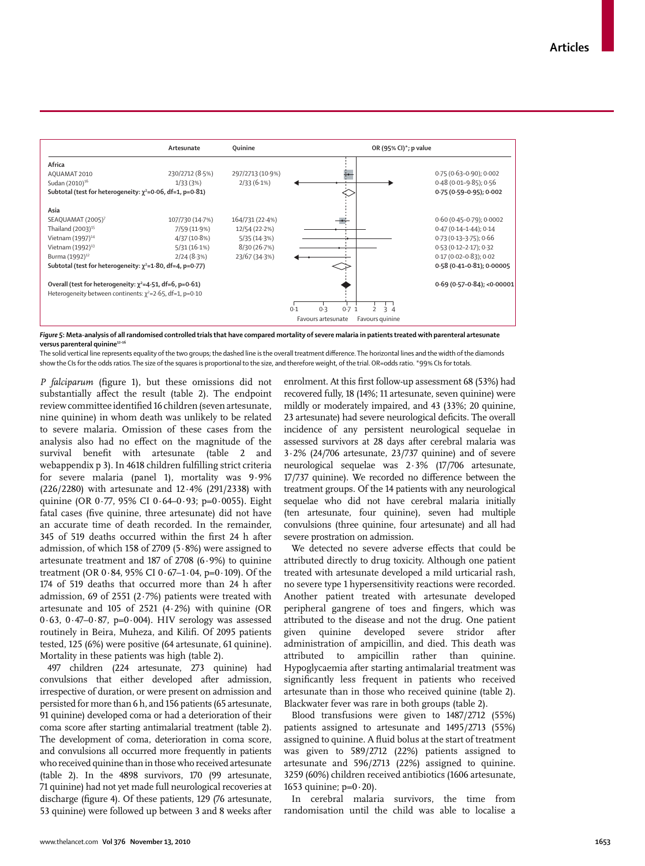

*Figure 5***: Meta-analysis of all randomised controlled trials that have compared mortality of severe malaria in patients treated with parenteral artesunate versus parenteral quinine12–16**

The solid vertical line represents equality of the two groups; the dashed line is the overall treatment difference. The horizontal lines and the width of the diamonds show the CIs for the odds ratios. The size of the squares is proportional to the size, and therefore weight, of the trial. OR=odds ratio. \*99% CIs for totals.

*P falciparum* (figure 1), but these omissions did not substantially affect the result (table 2). The endpoint review committee identified 16 children (seven artesunate, nine quinine) in whom death was unlikely to be related to severe malaria. Omission of these cases from the analysis also had no effect on the magnitude of the survival benefit with artesunate (table 2 and webappendix p 3). In 4618 children fulfilling strict criteria for severe malaria (panel 1), mortality was 9·9% (226/2280) with artesunate and 12·4% (291/2338) with quinine (OR 0·77, 95% CI 0·64–0·93; p=0·0055). Eight fatal cases (five quinine, three artesunate) did not have an accurate time of death recorded. In the remainder, 345 of 519 deaths occurred within the first 24 h after admission, of which 158 of 2709 (5·8%) were assigned to artesunate treatment and 187 of 2708  $(6.9\%)$  to quinine treatment (OR 0·84, 95% CI 0·67–1·04, p=0·109). Of the 174 of 519 deaths that occurred more than 24 h after admission, 69 of 2551 (2 $\cdot$ 7%) patients were treated with artesunate and 105 of 2521 (4·2%) with quinine (OR 0.63, 0.47-0.87, p=0.004). HIV serology was assessed routinely in Beira, Muheza, and Kilifi. Of 2095 patients tested, 125 (6%) were positive (64 artesunate, 61 quinine). Mortality in these patients was high (table 2).

497 children (224 artesunate, 273 quinine) had convulsions that either developed after admission, irrespective of duration, or were present on admission and persisted for more than 6 h, and 156 patients (65 artesunate, 91 quinine) developed coma or had a deterioration of their coma score after starting antimalarial treatment (table 2). The development of coma, deterioration in coma score, and convulsions all occurred more frequently in patients who received quinine than in those who received artesunate (table 2). In the 4898 survivors, 170 (99 artesunate, 71 quinine) had not yet made full neurological recoveries at discharge (figure 4). Of these patients, 129 (76 artesunate, 53 quinine) were followed up between 3 and 8 weeks after enrolment. At this first follow-up assessment 68 (53%) had recovered fully, 18 (14%; 11 artesunate, seven quinine) were mildly or moderately impaired, and 43 (33%; 20 quinine, 23 artesunate) had severe neurological deficits. The overall incidence of any persistent neurological sequelae in assessed survivors at 28 days after cerebral malaria was 3·2% (24/706 artesunate, 23/737 quinine) and of severe neurological sequelae was 2·3% (17/706 artesunate, 17/737 quinine). We recorded no difference between the treatment groups. Of the 14 patients with any neurological sequelae who did not have cerebral malaria initially (ten artesunate, four quinine), seven had multiple convulsions (three quinine, four artesunate) and all had severe prostration on admission.

We detected no severe adverse effects that could be attributed directly to drug toxicity. Although one patient treated with artesunate developed a mild urticarial rash, no severe type 1 hypersensitivity reactions were recorded. Another patient treated with artesunate developed peripheral gangrene of toes and fingers, which was attributed to the disease and not the drug. One patient given quinine developed severe stridor after administration of ampicillin, and died. This death was attributed to ampicillin rather than quinine. Hypoglycaemia after starting antimalarial treatment was significantly less frequent in patients who received artesunate than in those who received quinine (table 2). Blackwater fever was rare in both groups (table 2).

Blood transfusions were given to 1487/2712 (55%) patients assigned to artesunate and 1495/2713 (55%) assigned to quinine. A fluid bolus at the start of treatment was given to 589/2712 (22%) patients assigned to artesunate and 596/2713 (22%) assigned to quinine. 3259 (60%) children received antibiotics (1606 artesunate, 1653 quinine; p=0·20).

In cerebral malaria survivors, the time from randomisation until the child was able to localise a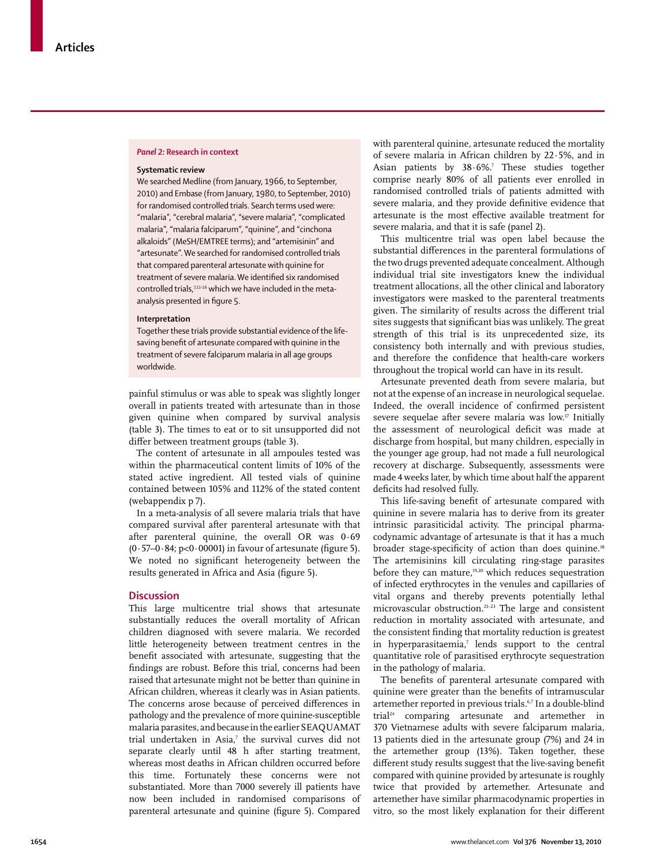## *Panel 2:* **Research in context**

#### **Systematic review**

We searched Medline (from January, 1966, to September, 2010) and Embase (from January, 1980, to September, 2010) for randomised controlled trials. Search terms used were: "malaria", "cerebral malaria", "severe malaria", "complicated malaria", "malaria falciparum", "quinine", and "cinchona alkaloids" (MeSH/EMTREE terms); and "artemisinin" and "artesunate". We searched for randomised controlled trials that compared parenteral artesunate with quinine for treatment of severe malaria. We identified six randomised controlled trials.<sup>7,12-16</sup> which we have included in the metaanalysis presented in figure 5.

### **Interpretation**

Together these trials provide substantial evidence of the lifesaving benefit of artesunate compared with quinine in the treatment of severe falciparum malaria in all age groups worldwide.

painful stimulus or was able to speak was slightly longer overall in patients treated with artesunate than in those given quinine when compared by survival analysis (table 3). The times to eat or to sit unsupported did not differ between treatment groups (table 3).

The content of artesunate in all ampoules tested was within the pharmaceutical content limits of 10% of the stated active ingredient. All tested vials of quinine contained between 105% and 112% of the stated content (webappendix p 7).

In a meta-analysis of all severe malaria trials that have compared survival after parenteral artesunate with that after parenteral quinine, the overall OR was 0·69  $(0.57-0.84; p<0.00001)$  in favour of artesunate (figure 5). We noted no significant heterogeneity between the results generated in Africa and Asia (figure 5).

#### **Discussion**

This large multicentre trial shows that artesunate substantially reduces the overall mortality of African children diagnosed with severe malaria. We recorded little heterogeneity between treatment centres in the benefit associated with artesunate, suggesting that the findings are robust. Before this trial, concerns had been raised that artesunate might not be better than quinine in African children, whereas it clearly was in Asian patients. The concerns arose because of perceived differences in pathology and the prevalence of more quinine-susceptible malaria parasites, and because in the earlier SEAQUAMAT trial undertaken in Asia,7 the survival curves did not separate clearly until 48 h after starting treatment, whereas most deaths in African children occurred before this time. Fortunately these concerns were not substantiated. More than 7000 severely ill patients have now been included in randomised comparisons of parenteral artesunate and quinine (figure 5). Compared with parenteral quinine, artesunate reduced the mortality of severe malaria in African children by 22·5%, and in Asian patients by 38·6%.7 These studies together comprise nearly 80% of all patients ever enrolled in randomised controlled trials of patients admitted with severe malaria, and they provide definitive evidence that artesunate is the most effective available treatment for severe malaria, and that it is safe (panel 2).

This multicentre trial was open label because the substantial differences in the parenteral formulations of the two drugs prevented adequate concealment. Although individual trial site investigators knew the individual treatment allocations, all the other clinical and laboratory investigators were masked to the parenteral treatments given. The similarity of results across the different trial sites suggests that significant bias was unlikely. The great strength of this trial is its unprecedented size, its consistency both internally and with previous studies, and therefore the confidence that health-care workers throughout the tropical world can have in its result.

Artesunate prevented death from severe malaria, but not at the expense of an increase in neurological sequelae. Indeed, the overall incidence of confirmed persistent severe sequelae after severe malaria was low.<sup>17</sup> Initially the assessment of neurological deficit was made at discharge from hospital, but many children, especially in the younger age group, had not made a full neurological recovery at discharge. Subsequently, assessments were made 4 weeks later, by which time about half the apparent deficits had resolved fully.

This life-saving benefit of artesunate compared with quinine in severe malaria has to derive from its greater intrinsic parasiticidal activity. The principal pharmacodynamic advantage of artesunate is that it has a much broader stage-specificity of action than does quinine.<sup>18</sup> The artemisinins kill circulating ring-stage parasites before they can mature,<sup>19,20</sup> which reduces sequestration of infected erythrocytes in the venules and capillaries of vital organs and thereby prevents potentially lethal microvascular obstruction.21–23 The large and consistent reduction in mortality associated with artesunate, and the consistent finding that mortality reduction is greatest in hyperparasitaemia,<sup>7</sup> lends support to the central quantitative role of parasitised erythrocyte sequestration in the pathology of malaria.

The benefits of parenteral artesunate compared with quinine were greater than the benefits of intramuscular artemether reported in previous trials.<sup>6,7</sup> In a double-blind trial24 comparing artesunate and artemether in 370 Vietnamese adults with severe falciparum malaria, 13 patients died in the artesunate group (7%) and 24 in the artemether group (13%). Taken together, these different study results suggest that the live-saving benefit compared with quinine provided by artesunate is roughly twice that provided by artemether. Artesunate and artemether have similar pharmacodynamic properties in vitro, so the most likely explanation for their different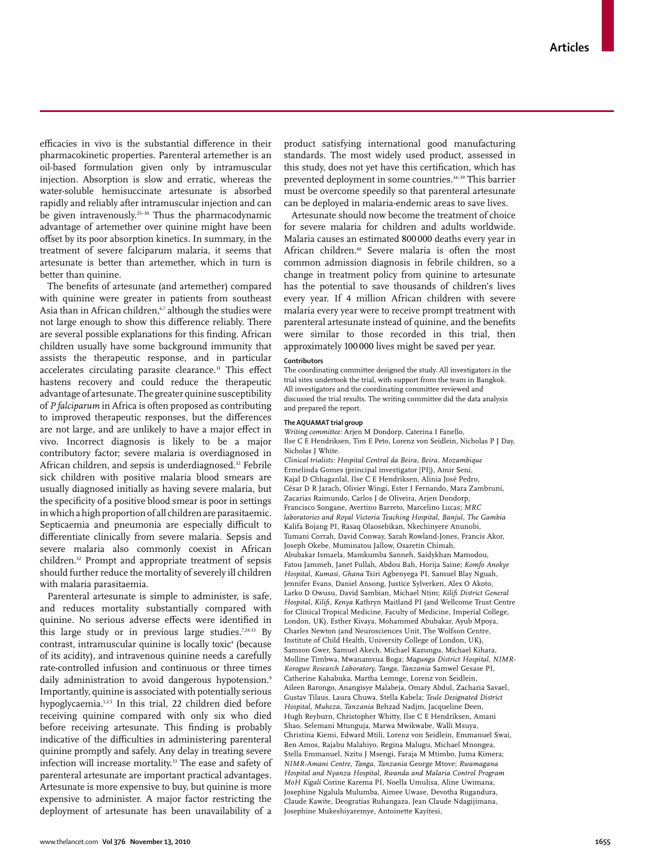efficacies in vivo is the substantial difference in their pharmacokinetic properties. Parenteral artemether is an oil-based formulation given only by intramuscular injection. Absorption is slow and erratic, whereas the water-soluble hemisuccinate artesunate is absorbed rapidly and reliably after intramuscular injection and can be given intravenously.<sup>25-30</sup> Thus the pharmacodynamic advantage of artemether over quinine might have been offset by its poor absorption kinetics. In summary, in the treatment of severe falciparum malaria, it seems that artesunate is better than artemether, which in turn is better than quinine.

The benefits of artesunate (and artemether) compared with quinine were greater in patients from southeast Asia than in African children,<sup>6,7</sup> although the studies were not large enough to show this difference reliably. There are several possible explanations for this finding. African children usually have some background immunity that assists the therapeutic response, and in particular accelerates circulating parasite clearance.<sup>31</sup> This effect hastens recovery and could reduce the therapeutic advantage of artesunate. The greater quinine susceptibility of *P falciparum* in Africa is often proposed as contributing to improved therapeutic responses, but the differences are not large, and are unlikely to have a major effect in vivo. Incorrect diagnosis is likely to be a major contributory factor; severe malaria is overdiagnosed in African children, and sepsis is underdiagnosed.<sup>32</sup> Febrile sick children with positive malaria blood smears are usually diagnosed initially as having severe malaria, but the specificity of a positive blood smear is poor in settings in which a high proportion of all children are parasitaemic. Septicaemia and pneumonia are especially difficult to differentiate clinically from severe malaria. Sepsis and severe malaria also commonly coexist in African children.32 Prompt and appropriate treatment of sepsis should further reduce the mortality of severely ill children with malaria parasitaemia.

Parenteral artesunate is simple to administer, is safe, and reduces mortality substantially compared with quinine. No serious adverse effects were identified in this large study or in previous large studies.<sup>7,24,33</sup> By contrast, intramuscular quinine is locally toxic<sup>4</sup> (because of its acidity), and intravenous quinine needs a carefully rate-controlled infusion and continuous or three times daily administration to avoid dangerous hypotension.<sup>9</sup> Importantly, quinine is associated with potentially serious hypoglycaemia.<sup>1,2,5</sup> In this trial, 22 children died before receiving quinine compared with only six who died before receiving artesunate. This finding is probably indicative of the difficulties in administering parenteral quinine promptly and safely. Any delay in treating severe infection will increase mortality.<sup>33</sup> The ease and safety of parenteral artesunate are important practical advantages. Artesunate is more expensive to buy, but quinine is more expensive to administer. A major factor restricting the deployment of artesunate has been unavailability of a

product satisfying international good manufacturing standards. The most widely used product, assessed in this study, does not yet have this certification, which has prevented deployment in some countries.34–39 This barrier must be overcome speedily so that parenteral artesunate can be deployed in malaria-endemic areas to save lives.

Artesunate should now become the treatment of choice for severe malaria for children and adults worldwide. Malaria causes an estimated 800 000 deaths every year in African children.40 Severe malaria is often the most common admission diagnosis in febrile children, so a change in treatment policy from quinine to artesunate has the potential to save thousands of children's lives every year. If 4 million African children with severe malaria every year were to receive prompt treatment with parenteral artesunate instead of quinine, and the benefits were similar to those recorded in this trial, then approximately 100 000 lives might be saved per year.

## **Contributors**

The coordinating committee designed the study. All investigators in the trial sites undertook the trial, with support from the team in Bangkok. All investigators and the coordinating committee reviewed and discussed the trial results. The writing committee did the data analysis and prepared the report.

#### **The AQUAMAT trial group**

*Writing committee:* Arjen M Dondorp, Caterina I Fanello, Ilse C E Hendriksen, Tim E Peto, Lorenz von Seidlein, Nicholas P J Day, Nicholas I White.

*Clinical trialists: Hospital Central da Beira, Beira, Mozambique* Ermelinda Gomes (principal investigator [PI]), Amir Seni, Kajal D Chhaganlal, Ilse C E Hendriksen, Alínia José Pedro, César D R Jarach, Olivier Wingi, Ester I Fernando, Mara Zambruni, Zacarias Raimundo, Carlos J de Oliveira, Arjen Dondorp, Francisco Songane, Avertino Barreto, Marcelino Lucas; *MRC laboratories and Royal Victoria Teaching Hospital, Banjul, The Gambia* Kalifa Bojang PI, Rasaq Olaosebikan, Nkechinyere Anunobi, Tumani Corrah, David Conway, Sarah Rowland-Jones, Francis Akor, Joseph Okebe, Muminatou Jallow, Osaretin Chimah, Abubakar Ismaela, Mamkumba Sanneh, Saidykhan Mamodou, Fatou Jammeh, Janet Fullah, Abdou Bah, Horija Saine; *Komfo Anokye Hospital, Kumasi, Ghana* Tsiri Agbenyega PI, Samuel Blay Nguah, Jennifer Evans, Daniel Ansong, Justice Sylverken, Alex O Akoto, Larko D Owusu, David Sambian, Michael Ntim; *Kilifi District General Hospital, Kilifi , Kenya* Kathryn Maitland PI (and Wellcome Trust Centre for Clinical Tropical Medicine, Faculty of Medicine, Imperial College, London, UK), Esther Kivaya, Mohammed Abubakar, Ayub Mpoya, Charles Newton (and Neurosciences Unit, The Wolfson Centre, Institute of Child Health, University College of London, UK), Samson Gwer, Samuel Akech, Michael Kazungu, Michael Kihara, Molline Timbwa, Mwanamvua Boga; *Magunga District Hospital, NIMR-Korogwe Research Laboratory, Tanga, Tanzania* Samwel Gesase PI, Catherine Kahabuka, Martha Lemnge, Lorenz von Seidlein, Aileen Barongo, Anangisye Malabeja, Omary Abdul, Zacharia Savael, Gustav Tilaus, Laura Chuwa, Stella Kabela; *Teule Designated District Hospital, Muheza, Tanzania* Behzad Nadjm, Jacqueline Deen, Hugh Reyburn, Christopher Whitty, Ilse C E Hendriksen, Amani Shao, Selemani Mtunguja, Marwa Mwikwabe, Walli Msuya, Christina Kiemi, Edward Mtili, Lorenz von Seidlein, Emmanuel Swai, Ben Amos, Rajabu Malahiyo, Regina Malugu, Michael Mnongea, Stella Emmanuel, Nzitu J Msengi, Faraja M Mtimbo, Juma Kimera; *NIMR-Amani Centre, Tanga, Tanzania* George Mtove; *Rwamagana Hospital and Nyanza Hospital, Rwanda and Malaria Control Program MoH Kigali* Corine Karema PI, Noella Umulisa, Aline Uwimana, Josephine Ngalula Mulumba, Aimee Uwase, Devotha Rugandura, Claude Kawite, Deogratias Ruhangaza, Jean Claude Ndagijimana, Josephine Mukeshiyaremye, Antoinette Kayitesi,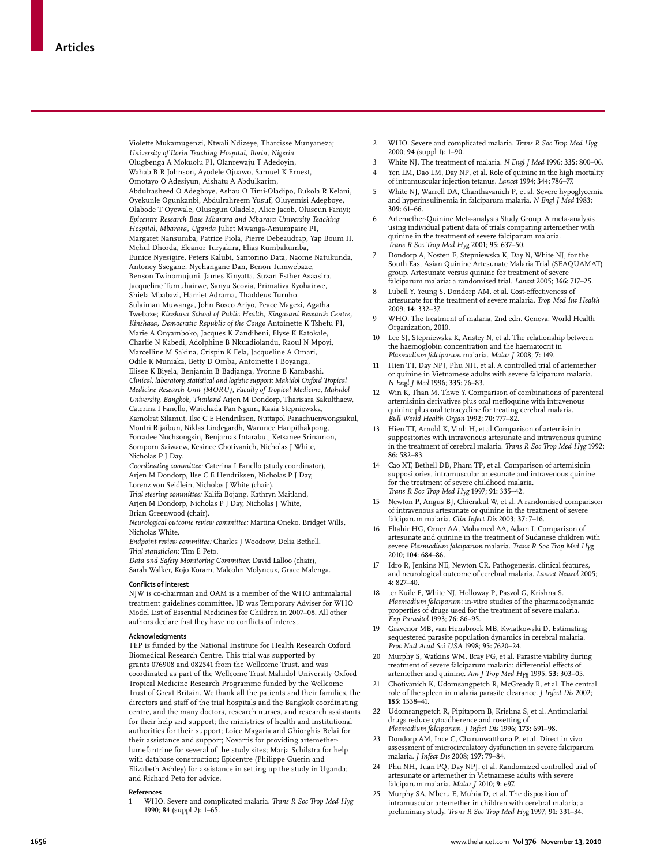Violette Mukamugenzi, Ntwali Ndizeye, Tharcisse Munyaneza; *University of Ilorin Teaching Hospital, Ilorin, Nigeria* Olugbenga A Mokuolu PI, Olanrewaju T Adedoyin, Wahab B R Johnson, Ayodele Ojuawo, Samuel K Ernest, Omotayo O Adesiyun, Aishatu A Abdulkarim, Abdulrasheed O Adegboye, Ashau O Timi-Oladipo, Bukola R Kelani, Oyekunle Ogunkanbi, Abdulrahreem Yusuf, Oluyemisi Adegboye, Olabode T Oyewale, Olusegun Oladele, Alice Jacob, Oluseun Faniyi; *Epicentre Research Base Mbarara and Mbarara University Teaching Hospital, Mbarara, Uganda* Juliet Mwanga-Amumpaire PI, Margaret Nansumba, Patrice Piola, Pierre Debeaudrap, Yap Boum II, Mehul Dhorda, Eleanor Turyakira, Elias Kumbakumba, Eunice Nyesigire, Peters Kalubi, Santorino Data, Naome Natukunda, Antoney Ssegane, Nyehangane Dan, Benon Tumwebaze, Benson Twinomujuni, James Kinyatta, Suzan Esther Asaasira, Jacqueline Tumuhairwe, Sanyu Scovia, Primativa Kyohairwe, Shiela Mbabazi, Harriet Adrama, Thaddeus Turuho, Sulaiman Muwanga, John Bosco Ariyo, Peace Magezi, Agatha Twebaze; *Kinshasa School of Public Health, Kingasani Research Centre, Kinshasa, Democratic Republic of the Congo* Antoinette K Tshefu PI, Marie A Onyamboko, Jacques K Zandibeni, Elyse K Katokale, Charlie N Kabedi, Adolphine B Nkuadiolandu, Raoul N Mpoyi, Marcelline M Sakina, Crispin K Fela, Jacqueline A Omari, Odile K Muniaka, Betty D Omba, Antoinette I Boyanga, Elisee K Biyela, Benjamin B Badjanga, Yvonne B Kambashi. *Clinical, laboratory, statistical and logistic support: Mahidol Oxford Tropical Medicine Research Unit (MORU), Faculty of Tropical Medicine, Mahidol University, Bangkok, Thailand* Arjen M Dondorp, Tharisara Sakulthaew, Caterina I Fanello, Wirichada Pan Ngum, Kasia Stepniewska, Kamolrat Silamut, Ilse C E Hendriksen, Nuttapol Panachuenwongsakul, Montri Rijaibun, Niklas Lindegardh, Warunee Hanpithakpong, Forradee Nuchsongsin, Benjamas Intarabut, Ketsanee Srinamon, Somporn Saiwaew, Kesinee Chotivanich, Nicholas J White, Nicholas P J Day.

*Coordinating committee:* Caterina I Fanello (study coordinator), Arjen M Dondorp, Ilse C E Hendriksen, Nicholas P J Day, Lorenz von Seidlein, Nicholas J White (chair). *Trial steering committee:* Kalifa Bojang, Kathryn Maitland, Arjen M Dondorp, Nicholas P J Day, Nicholas J White, Brian Greenwood (chair).

*Neurological outcome review committee:* Martina Oneko, Bridget Wills, Nicholas White.

*Endpoint review committee:* Charles J Woodrow, Delia Bethell. *Trial statistician:* Tim E Peto.

*Data and Safety Monitoring Committee:* David Lalloo (chair), Sarah Walker, Kojo Koram, Malcolm Molyneux, Grace Malenga.

#### **Confl icts of interest**

NJW is co-chairman and OAM is a member of the WHO antimalarial treatment guidelines committee. JD was Temporary Adviser for WHO Model List of Essential Medicines for Children in 2007–08. All other authors declare that they have no conflicts of interest.

#### **Acknowledgments**

TEP is funded by the National Institute for Health Research Oxford Biomedical Research Centre. This trial was supported by grants 076908 and 082541 from the Wellcome Trust, and was coordinated as part of the Wellcome Trust Mahidol University Oxford Tropical Medicine Research Programme funded by the Wellcome Trust of Great Britain. We thank all the patients and their families, the directors and staff of the trial hospitals and the Bangkok coordinating centre, and the many doctors, research nurses, and research assistants for their help and support; the ministries of health and institutional authorities for their support; Loice Magaria and Ghiorghis Belai for their assistance and support; Novartis for providing artemetherlumefantrine for several of the study sites; Marja Schilstra for help with database construction; Epicentre (Philippe Guerin and Elizabeth Ashley) for assistance in setting up the study in Uganda; and Richard Peto for advice.

#### **References**

1 WHO. Severe and complicated malaria. *Trans R Soc Trop Med Hyg* 1990; **84** (suppl 2)**:** 1–65.

- 2 WHO. Severe and complicated malaria. *Trans R Soc Trop Med Hyg* 2000; **94** (suppl 1)**:** 1–90.
- 3 White NJ. The treatment of malaria. *N Engl J Med* 1996; **335:** 800–06. Yen LM, Dao LM, Day NP, et al. Role of quinine in the high mortality
- of intramuscular injection tetanus. *Lancet* 1994; **344:** 786–77. 5 White NJ, Warrell DA, Chanthavanich P, et al. Severe hypoglycemia
- and hyperinsulinemia in falciparum malaria. *N Engl J Med* 1983; **309:** 61–66.
- 6 Artemether-Quinine Meta-analysis Study Group. A meta-analysis using individual patient data of trials comparing artemether with quinine in the treatment of severe falciparum malaria. *Trans R Soc Trop Med Hyg* 2001; **95:** 637–50.
- Dondorp A, Nosten F, Stepniewska K, Day N, White NJ, for the South East Asian Quinine Artesunate Malaria Trial (SEAQUAMAT) group. Artesunate versus quinine for treatment of severe falciparum malaria: a randomised trial. *Lancet* 2005; **366:** 717–25.
- Lubell Y, Yeung S, Dondorp AM, et al. Cost-effectiveness of artesunate for the treatment of severe malaria. *Trop Med Int Health* 2009; **14:** 332–37.
- 9 WHO. The treatment of malaria, 2nd edn. Geneva: World Health Organization, 2010.
- Lee SJ, Stepniewska K, Anstey N, et al. The relationship between the haemoglobin concentration and the haematocrit in *Plasmodium falciparum* malaria. *Malar J* 2008; **7:** 149.
- 11 Hien TT, Day NPJ, Phu NH, et al. A controlled trial of artemether or quinine in Vietnamese adults with severe falciparum malaria. *N Engl J Med* 1996; **335:** 76–83.
- 12 Win K, Than M, Thwe Y. Comparison of combinations of parenteral artemisinin derivatives plus oral mefloquine with intravenous quinine plus oral tetracycline for treating cerebral malaria. *Bull World Health Organ* 1992; **70:** 777–82.
- 13 Hien TT, Arnold K, Vinh H, et al Comparison of artemisinin suppositories with intravenous artesunate and intravenous quinine in the treatment of cerebral malaria. *Trans R Soc Trop Med Hyg* 1992; **86:** 582–83.
- 14 Cao XT, Bethell DB, Pham TP, et al. Comparison of artemisinin suppositories, intramuscular artesunate and intravenous quinine for the treatment of severe childhood malaria. *Trans R Soc Trop Med Hyg* 1997; **91:** 335–42.
- 15 Newton P, Angus BJ, Chierakul W, et al. A randomised comparison of intravenous artesunate or quinine in the treatment of severe falciparum malaria. *Clin Infect Dis* 2003; **37:** 7–16.
- Eltahir HG, Omer AA, Mohamed AA, Adam I. Comparison of artesunate and quinine in the treatment of Sudanese children with severe *Plasmodium falciparum* malaria. *Trans R Soc Trop Med Hyg* 2010; **104:** 684–86.
- 17 Idro R, Jenkins NE, Newton CR. Pathogenesis, clinical features, and neurological outcome of cerebral malaria. *Lancet Neurol* 2005; **4:** 827–40.
- 18 ter Kuile F, White NJ, Holloway P, Pasvol G, Krishna S. *Plasmodium falciparum*: in-vitro studies of the pharmacodynamic properties of drugs used for the treatment of severe malaria. *Exp Parasitol* 1993; **76:** 86–95.
- 19 Gravenor MB, van Hensbroek MB, Kwiatkowski D. Estimating sequestered parasite population dynamics in cerebral malaria. *Proc Natl Acad Sci USA* 1998; **95:** 7620–24.
- 20 Murphy S, Watkins WM, Bray PG, et al. Parasite viability during treatment of severe falciparum malaria: differential effects of artemether and quinine. *Am J Trop Med Hyg* 1995; **53:** 303–05.
- 21 Chotivanich K, Udomsangpetch R, McGready R, et al. The central role of the spleen in malaria parasite clearance. *J Infect Dis* 2002; **185:** 1538–41.
- 22 Udomsangpetch R, Pipitaporn B, Krishna S, et al. Antimalarial drugs reduce cytoadherence and rosetting of *Plasmodium falciparum*. *J Infect Dis* 1996; **173:** 691–98.
- 23 Dondorp AM, Ince C, Charunwatthana P, et al. Direct in vivo assessment of microcirculatory dysfunction in severe falciparum malaria. *J Infect Dis* 2008; **197:** 79–84.
- 24 Phu NH, Tuan PQ, Day NPJ, et al. Randomized controlled trial of artesunate or artemether in Vietnamese adults with severe falciparum malaria. *Malar J* 2010; **9:** e97.
- 25 Murphy SA, Mberu E, Muhia D, et al. The disposition of intramuscular artemether in children with cerebral malaria; a preliminary study. *Trans R Soc Trop Med Hyg* 1997; **91:** 331–34.